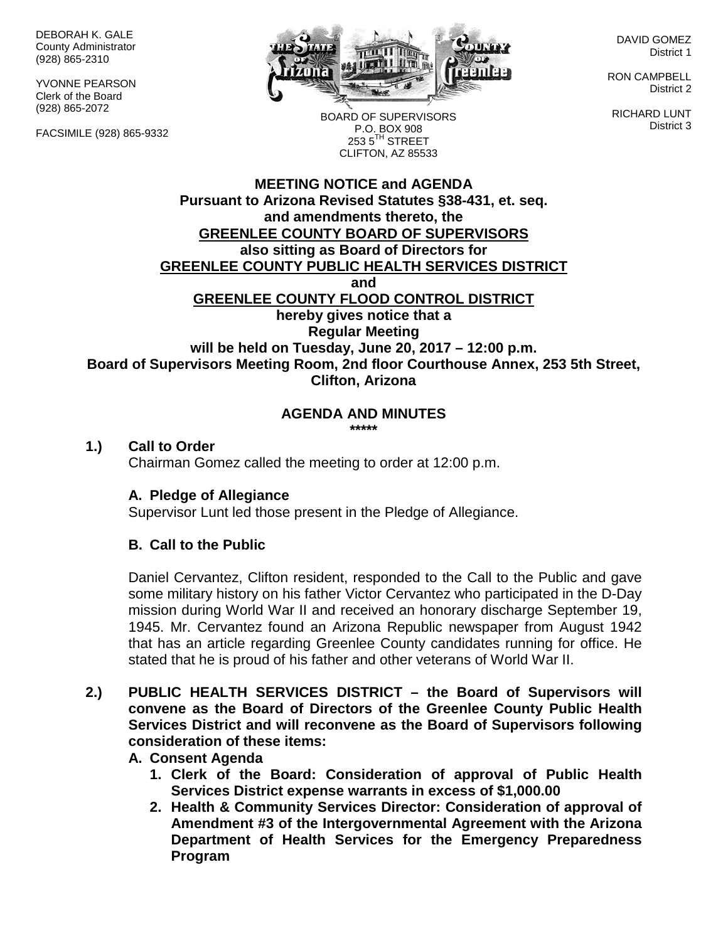DEBORAH K. GALE County Administrator (928) 865-2310

YVONNE PEARSON Clerk of the Board (928) 865-2072

FACSIMILE (928) 865-9332



DAVID GOMEZ District 1

RON CAMPBELL District 2

RICHARD LUNT District 3

BOARD OF SUPERVISORS P.O. BOX 908  $253.5$ <sup>TH</sup> STREET CLIFTON, AZ 85533

#### **MEETING NOTICE and AGENDA Pursuant to Arizona Revised Statutes §38-431, et. seq. and amendments thereto, the GREENLEE COUNTY BOARD OF SUPERVISORS also sitting as Board of Directors for GREENLEE COUNTY PUBLIC HEALTH SERVICES DISTRICT and GREENLEE COUNTY FLOOD CONTROL DISTRICT hereby gives notice that a Regular Meeting will be held on Tuesday, June 20, 2017 – 12:00 p.m. Board of Supervisors Meeting Room, 2nd floor Courthouse Annex, 253 5th Street, Clifton, Arizona**

# **AGENDA AND MINUTES**

**\*\*\*\*\***

#### **1.) Call to Order**

Chairman Gomez called the meeting to order at 12:00 p.m.

#### **A. Pledge of Allegiance**

Supervisor Lunt led those present in the Pledge of Allegiance.

#### **B. Call to the Public**

Daniel Cervantez, Clifton resident, responded to the Call to the Public and gave some military history on his father Victor Cervantez who participated in the D-Day mission during World War II and received an honorary discharge September 19, 1945. Mr. Cervantez found an Arizona Republic newspaper from August 1942 that has an article regarding Greenlee County candidates running for office. He stated that he is proud of his father and other veterans of World War II.

**2.) PUBLIC HEALTH SERVICES DISTRICT – the Board of Supervisors will convene as the Board of Directors of the Greenlee County Public Health Services District and will reconvene as the Board of Supervisors following consideration of these items:**

**A. Consent Agenda**

- **1. Clerk of the Board: Consideration of approval of Public Health Services District expense warrants in excess of \$1,000.00**
- **2. Health & Community Services Director: Consideration of approval of Amendment #3 of the Intergovernmental Agreement with the Arizona Department of Health Services for the Emergency Preparedness Program**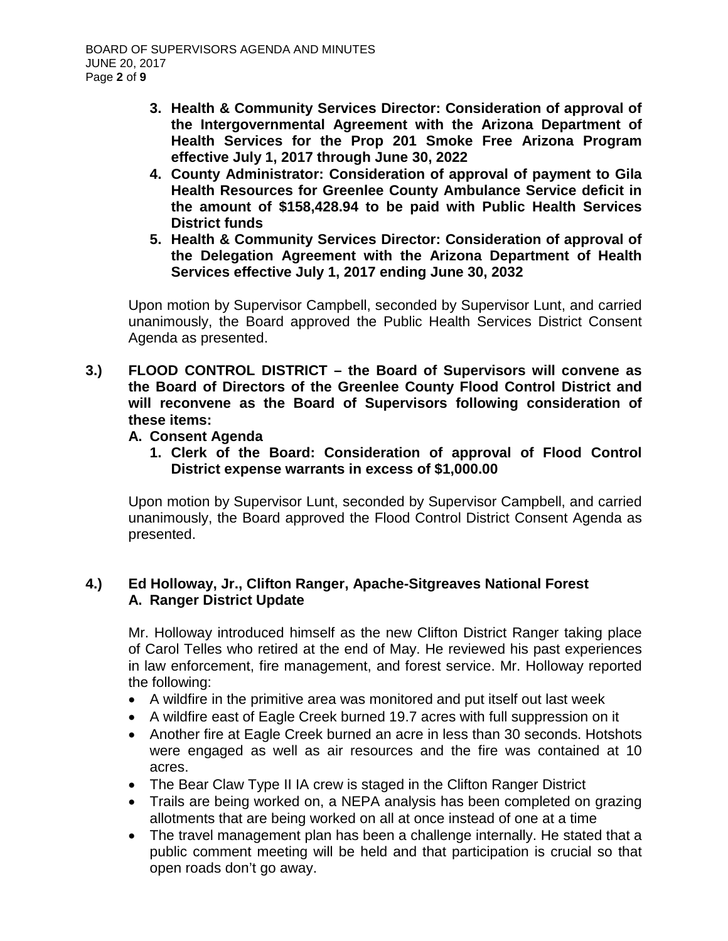- **3. Health & Community Services Director: Consideration of approval of the Intergovernmental Agreement with the Arizona Department of Health Services for the Prop 201 Smoke Free Arizona Program effective July 1, 2017 through June 30, 2022**
- **4. County Administrator: Consideration of approval of payment to Gila Health Resources for Greenlee County Ambulance Service deficit in the amount of \$158,428.94 to be paid with Public Health Services District funds**
- **5. Health & Community Services Director: Consideration of approval of the Delegation Agreement with the Arizona Department of Health Services effective July 1, 2017 ending June 30, 2032**

Upon motion by Supervisor Campbell, seconded by Supervisor Lunt, and carried unanimously, the Board approved the Public Health Services District Consent Agenda as presented.

- **3.) FLOOD CONTROL DISTRICT – the Board of Supervisors will convene as the Board of Directors of the Greenlee County Flood Control District and will reconvene as the Board of Supervisors following consideration of these items:**
	- **A. Consent Agenda**
		- **1. Clerk of the Board: Consideration of approval of Flood Control District expense warrants in excess of \$1,000.00**

Upon motion by Supervisor Lunt, seconded by Supervisor Campbell, and carried unanimously, the Board approved the Flood Control District Consent Agenda as presented.

## **4.) Ed Holloway, Jr., Clifton Ranger, Apache-Sitgreaves National Forest A. Ranger District Update**

Mr. Holloway introduced himself as the new Clifton District Ranger taking place of Carol Telles who retired at the end of May. He reviewed his past experiences in law enforcement, fire management, and forest service. Mr. Holloway reported the following:

- A wildfire in the primitive area was monitored and put itself out last week
- A wildfire east of Eagle Creek burned 19.7 acres with full suppression on it
- Another fire at Eagle Creek burned an acre in less than 30 seconds. Hotshots were engaged as well as air resources and the fire was contained at 10 acres.
- The Bear Claw Type II IA crew is staged in the Clifton Ranger District
- Trails are being worked on, a NEPA analysis has been completed on grazing allotments that are being worked on all at once instead of one at a time
- The travel management plan has been a challenge internally. He stated that a public comment meeting will be held and that participation is crucial so that open roads don't go away.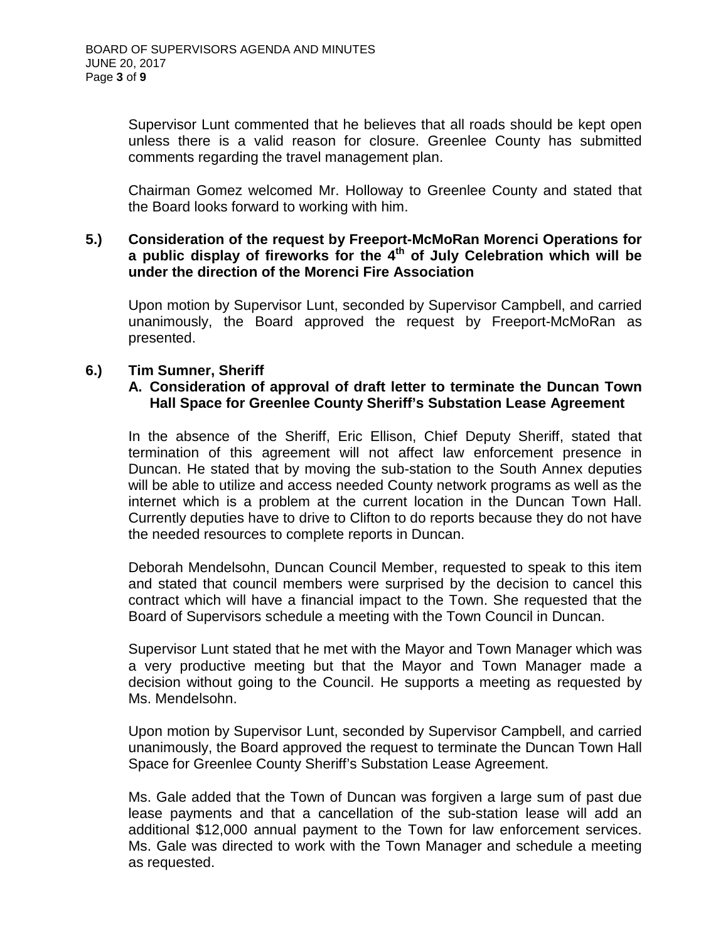Supervisor Lunt commented that he believes that all roads should be kept open unless there is a valid reason for closure. Greenlee County has submitted comments regarding the travel management plan.

Chairman Gomez welcomed Mr. Holloway to Greenlee County and stated that the Board looks forward to working with him.

#### **5.) Consideration of the request by Freeport-McMoRan Morenci Operations for a public display of fireworks for the 4th of July Celebration which will be under the direction of the Morenci Fire Association**

Upon motion by Supervisor Lunt, seconded by Supervisor Campbell, and carried unanimously, the Board approved the request by Freeport-McMoRan as presented.

# **6.) Tim Sumner, Sheriff**

#### **A. Consideration of approval of draft letter to terminate the Duncan Town Hall Space for Greenlee County Sheriff's Substation Lease Agreement**

In the absence of the Sheriff, Eric Ellison, Chief Deputy Sheriff, stated that termination of this agreement will not affect law enforcement presence in Duncan. He stated that by moving the sub-station to the South Annex deputies will be able to utilize and access needed County network programs as well as the internet which is a problem at the current location in the Duncan Town Hall. Currently deputies have to drive to Clifton to do reports because they do not have the needed resources to complete reports in Duncan.

Deborah Mendelsohn, Duncan Council Member, requested to speak to this item and stated that council members were surprised by the decision to cancel this contract which will have a financial impact to the Town. She requested that the Board of Supervisors schedule a meeting with the Town Council in Duncan.

Supervisor Lunt stated that he met with the Mayor and Town Manager which was a very productive meeting but that the Mayor and Town Manager made a decision without going to the Council. He supports a meeting as requested by Ms. Mendelsohn.

Upon motion by Supervisor Lunt, seconded by Supervisor Campbell, and carried unanimously, the Board approved the request to terminate the Duncan Town Hall Space for Greenlee County Sheriff's Substation Lease Agreement.

Ms. Gale added that the Town of Duncan was forgiven a large sum of past due lease payments and that a cancellation of the sub-station lease will add an additional \$12,000 annual payment to the Town for law enforcement services. Ms. Gale was directed to work with the Town Manager and schedule a meeting as requested.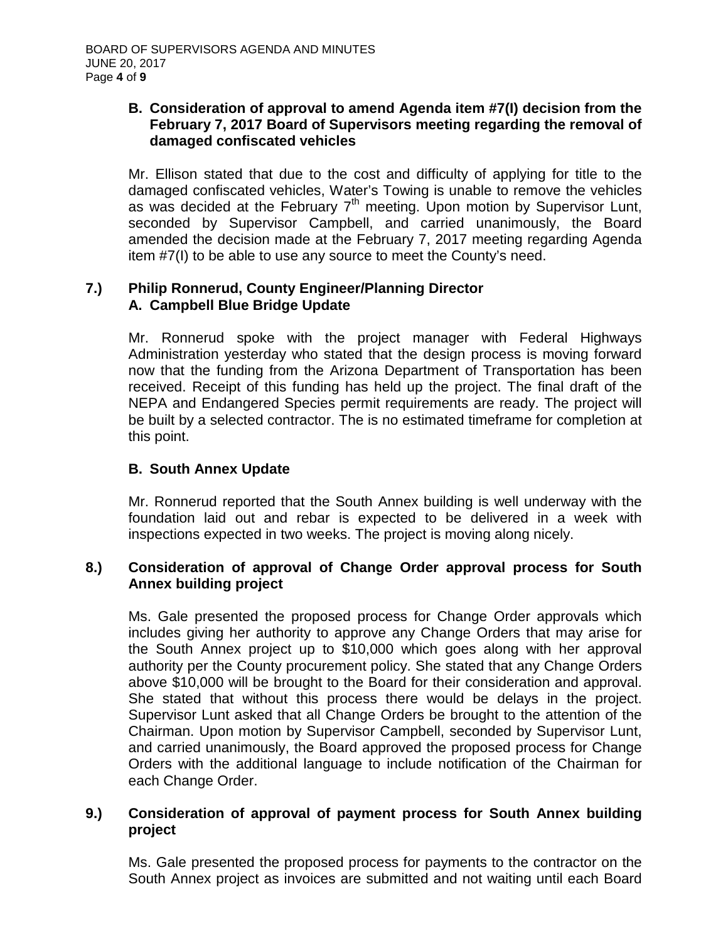## **B. Consideration of approval to amend Agenda item #7(I) decision from the February 7, 2017 Board of Supervisors meeting regarding the removal of damaged confiscated vehicles**

Mr. Ellison stated that due to the cost and difficulty of applying for title to the damaged confiscated vehicles, Water's Towing is unable to remove the vehicles as was decided at the February  $7<sup>th</sup>$  meeting. Upon motion by Supervisor Lunt, seconded by Supervisor Campbell, and carried unanimously, the Board amended the decision made at the February 7, 2017 meeting regarding Agenda item #7(I) to be able to use any source to meet the County's need.

## **7.) Philip Ronnerud, County Engineer/Planning Director A. Campbell Blue Bridge Update**

Mr. Ronnerud spoke with the project manager with Federal Highways Administration yesterday who stated that the design process is moving forward now that the funding from the Arizona Department of Transportation has been received. Receipt of this funding has held up the project. The final draft of the NEPA and Endangered Species permit requirements are ready. The project will be built by a selected contractor. The is no estimated timeframe for completion at this point.

# **B. South Annex Update**

Mr. Ronnerud reported that the South Annex building is well underway with the foundation laid out and rebar is expected to be delivered in a week with inspections expected in two weeks. The project is moving along nicely.

## **8.) Consideration of approval of Change Order approval process for South Annex building project**

Ms. Gale presented the proposed process for Change Order approvals which includes giving her authority to approve any Change Orders that may arise for the South Annex project up to \$10,000 which goes along with her approval authority per the County procurement policy. She stated that any Change Orders above \$10,000 will be brought to the Board for their consideration and approval. She stated that without this process there would be delays in the project. Supervisor Lunt asked that all Change Orders be brought to the attention of the Chairman. Upon motion by Supervisor Campbell, seconded by Supervisor Lunt, and carried unanimously, the Board approved the proposed process for Change Orders with the additional language to include notification of the Chairman for each Change Order.

## **9.) Consideration of approval of payment process for South Annex building project**

Ms. Gale presented the proposed process for payments to the contractor on the South Annex project as invoices are submitted and not waiting until each Board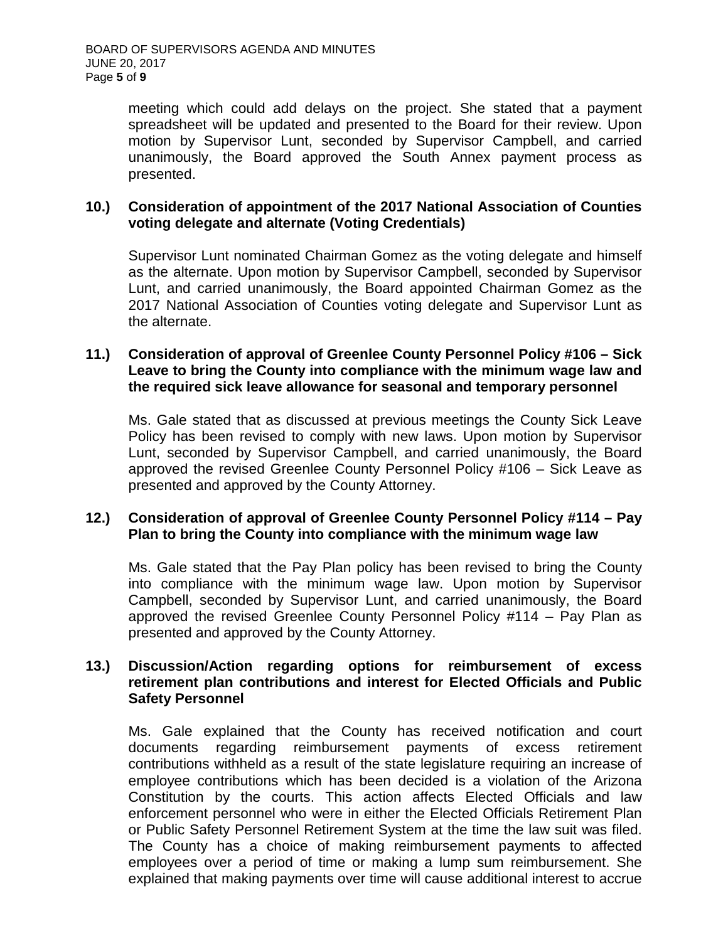meeting which could add delays on the project. She stated that a payment spreadsheet will be updated and presented to the Board for their review. Upon motion by Supervisor Lunt, seconded by Supervisor Campbell, and carried unanimously, the Board approved the South Annex payment process as presented.

### **10.) Consideration of appointment of the 2017 National Association of Counties voting delegate and alternate (Voting Credentials)**

Supervisor Lunt nominated Chairman Gomez as the voting delegate and himself as the alternate. Upon motion by Supervisor Campbell, seconded by Supervisor Lunt, and carried unanimously, the Board appointed Chairman Gomez as the 2017 National Association of Counties voting delegate and Supervisor Lunt as the alternate.

#### **11.) Consideration of approval of Greenlee County Personnel Policy #106 – Sick Leave to bring the County into compliance with the minimum wage law and the required sick leave allowance for seasonal and temporary personnel**

Ms. Gale stated that as discussed at previous meetings the County Sick Leave Policy has been revised to comply with new laws. Upon motion by Supervisor Lunt, seconded by Supervisor Campbell, and carried unanimously, the Board approved the revised Greenlee County Personnel Policy #106 – Sick Leave as presented and approved by the County Attorney.

### **12.) Consideration of approval of Greenlee County Personnel Policy #114 – Pay Plan to bring the County into compliance with the minimum wage law**

Ms. Gale stated that the Pay Plan policy has been revised to bring the County into compliance with the minimum wage law. Upon motion by Supervisor Campbell, seconded by Supervisor Lunt, and carried unanimously, the Board approved the revised Greenlee County Personnel Policy #114 – Pay Plan as presented and approved by the County Attorney.

#### **13.) Discussion/Action regarding options for reimbursement of excess retirement plan contributions and interest for Elected Officials and Public Safety Personnel**

Ms. Gale explained that the County has received notification and court documents regarding reimbursement payments of excess retirement contributions withheld as a result of the state legislature requiring an increase of employee contributions which has been decided is a violation of the Arizona Constitution by the courts. This action affects Elected Officials and law enforcement personnel who were in either the Elected Officials Retirement Plan or Public Safety Personnel Retirement System at the time the law suit was filed. The County has a choice of making reimbursement payments to affected employees over a period of time or making a lump sum reimbursement. She explained that making payments over time will cause additional interest to accrue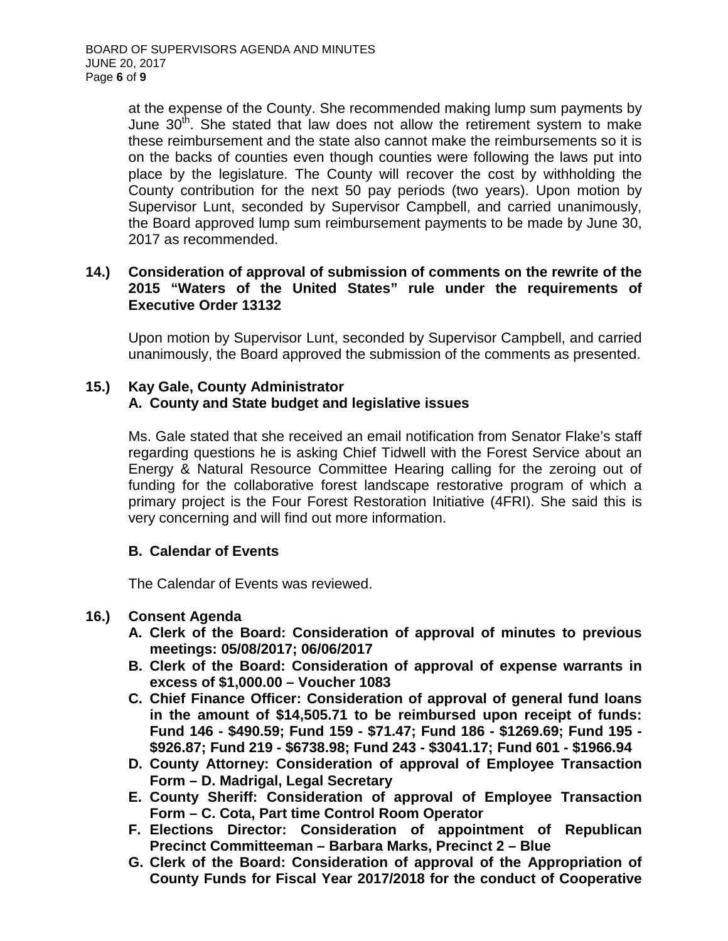at the expense of the County. She recommended making lump sum payments by June  $30<sup>th</sup>$ . She stated that law does not allow the retirement system to make these reimbursement and the state also cannot make the reimbursements so it is on the backs of counties even though counties were following the laws put into place by the legislature. The County will recover the cost by withholding the County contribution for the next 50 pay periods (two years). Upon motion by Supervisor Lunt, seconded by Supervisor Campbell, and carried unanimously, the Board approved lump sum reimbursement payments to be made by June 30, 2017 as recommended.

#### **14.) Consideration of approval of submission of comments on the rewrite of the 2015 "Waters of the United States" rule under the requirements of Executive Order 13132**

Upon motion by Supervisor Lunt, seconded by Supervisor Campbell, and carried unanimously, the Board approved the submission of the comments as presented.

#### **15.) Kay Gale, County Administrator A. County and State budget and legislative issues**

Ms. Gale stated that she received an email notification from Senator Flake's staff regarding questions he is asking Chief Tidwell with the Forest Service about an Energy & Natural Resource Committee Hearing calling for the zeroing out of funding for the collaborative forest landscape restorative program of which a primary project is the Four Forest Restoration Initiative (4FRI). She said this is very concerning and will find out more information.

### **B. Calendar of Events**

The Calendar of Events was reviewed.

### **16.) Consent Agenda**

- **A. Clerk of the Board: Consideration of approval of minutes to previous meetings: 05/08/2017; 06/06/2017**
- **B. Clerk of the Board: Consideration of approval of expense warrants in excess of \$1,000.00 – Voucher 1083**
- **C. Chief Finance Officer: Consideration of approval of general fund loans in the amount of \$14,505.71 to be reimbursed upon receipt of funds: Fund 146 - \$490.59; Fund 159 - \$71.47; Fund 186 - \$1269.69; Fund 195 - \$926.87; Fund 219 - \$6738.98; Fund 243 - \$3041.17; Fund 601 - \$1966.94**
- **D. County Attorney: Consideration of approval of Employee Transaction Form – D. Madrigal, Legal Secretary**
- **E. County Sheriff: Consideration of approval of Employee Transaction Form – C. Cota, Part time Control Room Operator**
- **F. Elections Director: Consideration of appointment of Republican Precinct Committeeman – Barbara Marks, Precinct 2 – Blue**
- **G. Clerk of the Board: Consideration of approval of the Appropriation of County Funds for Fiscal Year 2017/2018 for the conduct of Cooperative**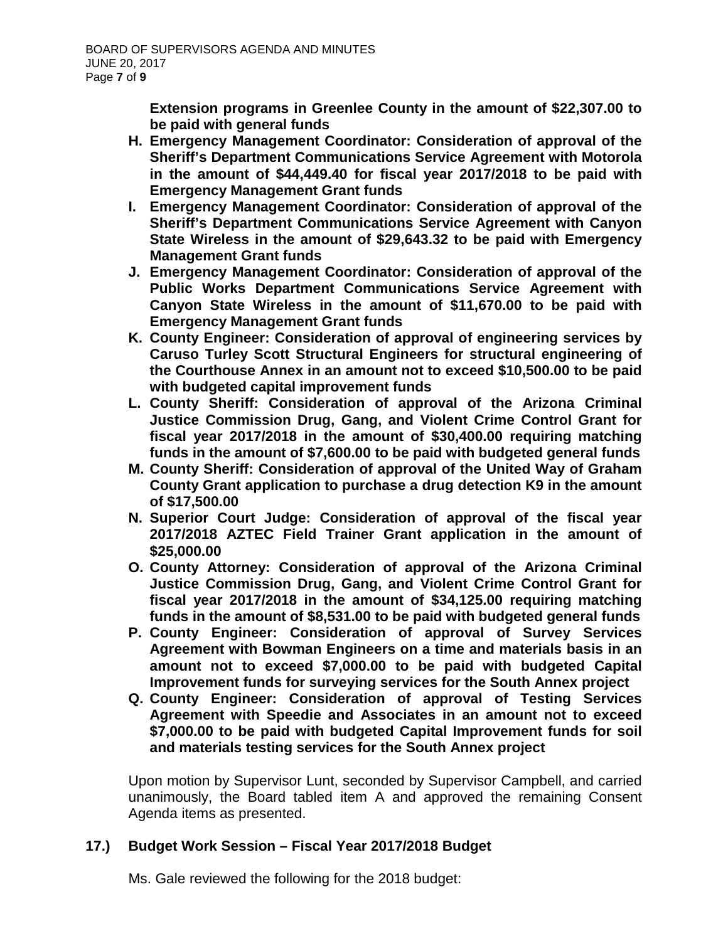**Extension programs in Greenlee County in the amount of \$22,307.00 to be paid with general funds**

- **H. Emergency Management Coordinator: Consideration of approval of the Sheriff's Department Communications Service Agreement with Motorola in the amount of \$44,449.40 for fiscal year 2017/2018 to be paid with Emergency Management Grant funds**
- **I. Emergency Management Coordinator: Consideration of approval of the Sheriff's Department Communications Service Agreement with Canyon State Wireless in the amount of \$29,643.32 to be paid with Emergency Management Grant funds**
- **J. Emergency Management Coordinator: Consideration of approval of the Public Works Department Communications Service Agreement with Canyon State Wireless in the amount of \$11,670.00 to be paid with Emergency Management Grant funds**
- **K. County Engineer: Consideration of approval of engineering services by Caruso Turley Scott Structural Engineers for structural engineering of the Courthouse Annex in an amount not to exceed \$10,500.00 to be paid with budgeted capital improvement funds**
- **L. County Sheriff: Consideration of approval of the Arizona Criminal Justice Commission Drug, Gang, and Violent Crime Control Grant for fiscal year 2017/2018 in the amount of \$30,400.00 requiring matching funds in the amount of \$7,600.00 to be paid with budgeted general funds**
- **M. County Sheriff: Consideration of approval of the United Way of Graham County Grant application to purchase a drug detection K9 in the amount of \$17,500.00**
- **N. Superior Court Judge: Consideration of approval of the fiscal year 2017/2018 AZTEC Field Trainer Grant application in the amount of \$25,000.00**
- **O. County Attorney: Consideration of approval of the Arizona Criminal Justice Commission Drug, Gang, and Violent Crime Control Grant for fiscal year 2017/2018 in the amount of \$34,125.00 requiring matching funds in the amount of \$8,531.00 to be paid with budgeted general funds**
- **P. County Engineer: Consideration of approval of Survey Services Agreement with Bowman Engineers on a time and materials basis in an amount not to exceed \$7,000.00 to be paid with budgeted Capital Improvement funds for surveying services for the South Annex project**
- **Q. County Engineer: Consideration of approval of Testing Services Agreement with Speedie and Associates in an amount not to exceed \$7,000.00 to be paid with budgeted Capital Improvement funds for soil and materials testing services for the South Annex project**

Upon motion by Supervisor Lunt, seconded by Supervisor Campbell, and carried unanimously, the Board tabled item A and approved the remaining Consent Agenda items as presented.

# **17.) Budget Work Session – Fiscal Year 2017/2018 Budget**

Ms. Gale reviewed the following for the 2018 budget: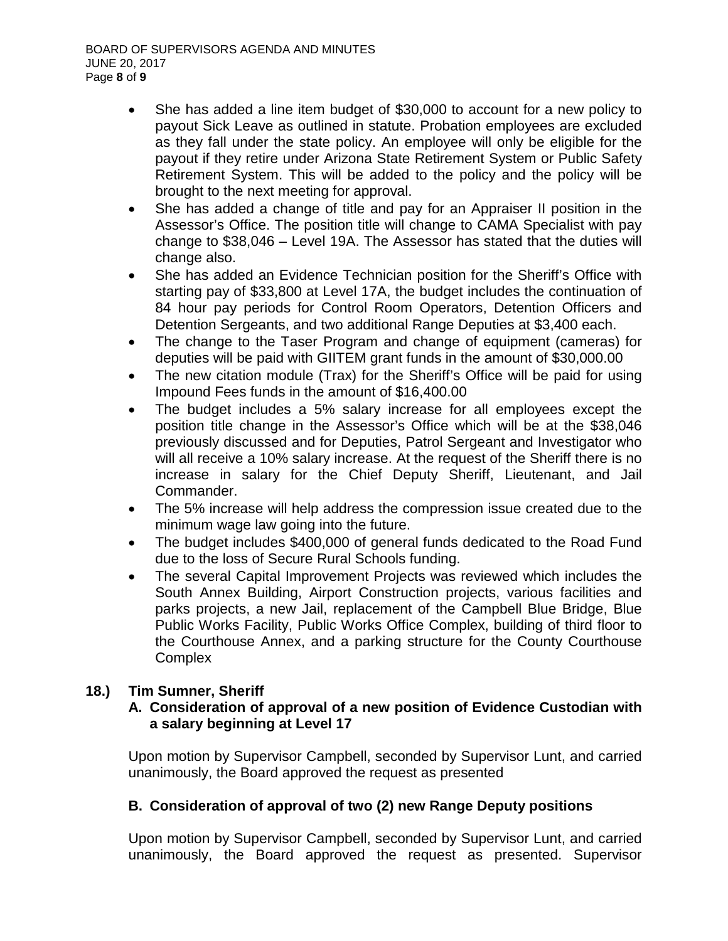- She has added a line item budget of \$30,000 to account for a new policy to payout Sick Leave as outlined in statute. Probation employees are excluded as they fall under the state policy. An employee will only be eligible for the payout if they retire under Arizona State Retirement System or Public Safety Retirement System. This will be added to the policy and the policy will be brought to the next meeting for approval.
- She has added a change of title and pay for an Appraiser II position in the Assessor's Office. The position title will change to CAMA Specialist with pay change to \$38,046 – Level 19A. The Assessor has stated that the duties will change also.
- She has added an Evidence Technician position for the Sheriff's Office with starting pay of \$33,800 at Level 17A, the budget includes the continuation of 84 hour pay periods for Control Room Operators, Detention Officers and Detention Sergeants, and two additional Range Deputies at \$3,400 each.
- The change to the Taser Program and change of equipment (cameras) for deputies will be paid with GIITEM grant funds in the amount of \$30,000.00
- The new citation module (Trax) for the Sheriff's Office will be paid for using Impound Fees funds in the amount of \$16,400.00
- The budget includes a 5% salary increase for all employees except the position title change in the Assessor's Office which will be at the \$38,046 previously discussed and for Deputies, Patrol Sergeant and Investigator who will all receive a 10% salary increase. At the request of the Sheriff there is no increase in salary for the Chief Deputy Sheriff, Lieutenant, and Jail Commander.
- The 5% increase will help address the compression issue created due to the minimum wage law going into the future.
- The budget includes \$400,000 of general funds dedicated to the Road Fund due to the loss of Secure Rural Schools funding.
- The several Capital Improvement Projects was reviewed which includes the South Annex Building, Airport Construction projects, various facilities and parks projects, a new Jail, replacement of the Campbell Blue Bridge, Blue Public Works Facility, Public Works Office Complex, building of third floor to the Courthouse Annex, and a parking structure for the County Courthouse **Complex**

# **18.) Tim Sumner, Sheriff**

## **A. Consideration of approval of a new position of Evidence Custodian with a salary beginning at Level 17**

Upon motion by Supervisor Campbell, seconded by Supervisor Lunt, and carried unanimously, the Board approved the request as presented

# **B. Consideration of approval of two (2) new Range Deputy positions**

Upon motion by Supervisor Campbell, seconded by Supervisor Lunt, and carried unanimously, the Board approved the request as presented. Supervisor